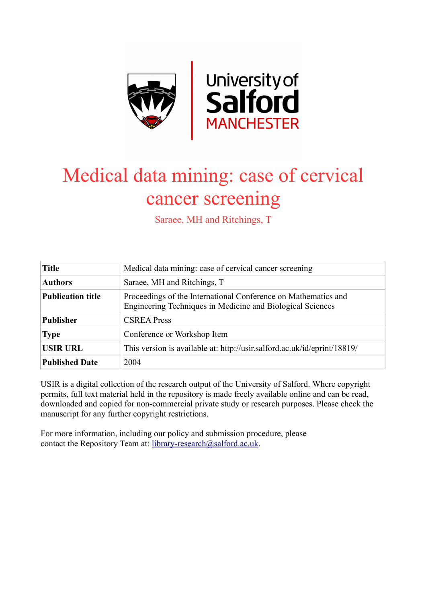

# Medical data mining: case of cervical cancer screening

Saraee, MH and Ritchings, T

| <b>Title</b>             | Medical data mining: case of cervical cancer screening                                                                       |
|--------------------------|------------------------------------------------------------------------------------------------------------------------------|
| <b>Authors</b>           | Saraee, MH and Ritchings, T                                                                                                  |
| <b>Publication title</b> | Proceedings of the International Conference on Mathematics and<br>Engineering Techniques in Medicine and Biological Sciences |
| <b>Publisher</b>         | <b>CSREA Press</b>                                                                                                           |
| <b>Type</b>              | Conference or Workshop Item                                                                                                  |
| <b>USIR URL</b>          | This version is available at: http://usir.salford.ac.uk/id/eprint/18819/                                                     |
| <b>Published Date</b>    | 2004                                                                                                                         |

USIR is a digital collection of the research output of the University of Salford. Where copyright permits, full text material held in the repository is made freely available online and can be read, downloaded and copied for non-commercial private study or research purposes. Please check the manuscript for any further copyright restrictions.

For more information, including our policy and submission procedure, please contact the Repository Team at: [library-research@salford.ac.uk.](mailto:library-research@salford.ac.uk)